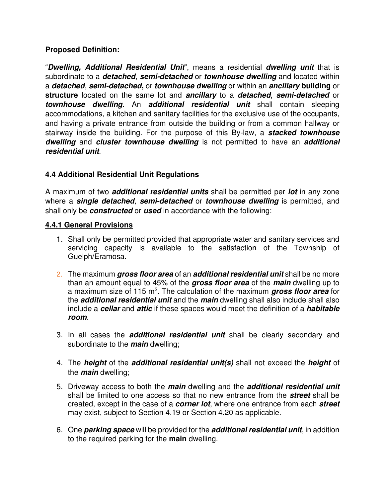## **Proposed Definition:**

"**Dwelling, Additional Residential Unit**", means a residential **dwelling unit** that is subordinate to a **detached**, **semi-detached** or **townhouse dwelling** and located within a **detached**, **semi-detached,** or **townhouse dwelling** or within an **ancillary building** or **structure** located on the same lot and **ancillary** to a **detached**, **semi-detached** or **townhouse dwelling**. An **additional residential unit** shall contain sleeping accommodations, a kitchen and sanitary facilities for the exclusive use of the occupants, and having a private entrance from outside the building or from a common hallway or stairway inside the building. For the purpose of this By-law, a **stacked townhouse dwelling** and **cluster townhouse dwelling** is not permitted to have an **additional residential unit**.

## **4.4 Additional Residential Unit Regulations**

A maximum of two **additional residential units** shall be permitted per **lot** in any zone where a **single detached**, **semi-detached** or **townhouse dwelling** is permitted, and shall only be **constructed** or **used** in accordance with the following:

#### **4.4.1 General Provisions**

- 1. Shall only be permitted provided that appropriate water and sanitary services and servicing capacity is available to the satisfaction of the Township of Guelph/Eramosa.
- 2. The maximum **gross floor area** of an **additional residential unit** shall be no more than an amount equal to 45% of the **gross floor area** of the **main** dwelling up to a maximum size of 115 m<sup>2</sup>. The calculation of the maximum gross floor area for the **additional residential unit** and the **main** dwelling shall also include shall also include a **cellar** and **attic** if these spaces would meet the definition of a **habitable room**.
- 3. In all cases the **additional residential unit** shall be clearly secondary and subordinate to the **main** dwelling;
- 4. The **height** of the **additional residential unit(s)** shall not exceed the **height** of the **main** dwelling;
- 5. Driveway access to both the **main** dwelling and the **additional residential unit**  shall be limited to one access so that no new entrance from the **street** shall be created, except in the case of a **corner lot**, where one entrance from each **street**  may exist, subject to Section 4.19 or Section 4.20 as applicable.
- 6. One **parking space** will be provided for the **additional residential unit**, in addition to the required parking for the **main** dwelling.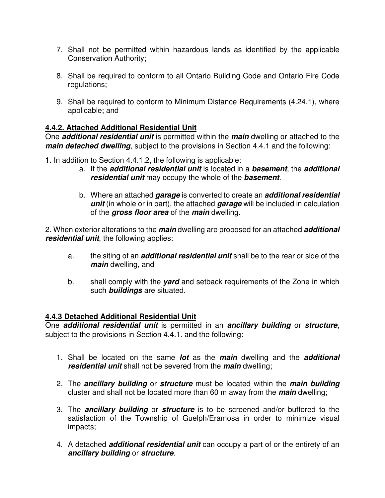- 7. Shall not be permitted within hazardous lands as identified by the applicable Conservation Authority;
- 8. Shall be required to conform to all Ontario Building Code and Ontario Fire Code regulations;
- 9. Shall be required to conform to Minimum Distance Requirements (4.24.1), where applicable; and

## **4.4.2. Attached Additional Residential Unit**

One **additional residential unit** is permitted within the **main** dwelling or attached to the **main detached dwelling**, subject to the provisions in Section 4.4.1 and the following:

- 1. In addition to Section 4.4.1.2, the following is applicable:
	- a. If the **additional residential unit** is located in a **basement**, the **additional residential unit** may occupy the whole of the **basement**.
	- b. Where an attached **garage** is converted to create an **additional residential unit** (in whole or in part), the attached **garage** will be included in calculation of the **gross floor area** of the **main** dwelling.

2. When exterior alterations to the **main** dwelling are proposed for an attached **additional residential unit**, the following applies:

- a. the siting of an **additional residential unit** shall be to the rear or side of the **main** dwelling, and
- b. shall comply with the **yard** and setback requirements of the Zone in which such **buildings** are situated.

## **4.4.3 Detached Additional Residential Unit**

One **additional residential unit** is permitted in an **ancillary building** or **structure**, subject to the provisions in Section 4.4.1. and the following:

- 1. Shall be located on the same **lot** as the **main** dwelling and the **additional residential unit** shall not be severed from the **main** dwelling;
- 2. The **ancillary building** or **structure** must be located within the **main building** cluster and shall not be located more than 60 m away from the **main** dwelling;
- 3. The **ancillary building** or **structure** is to be screened and/or buffered to the satisfaction of the Township of Guelph/Eramosa in order to minimize visual impacts;
- 4. A detached **additional residential unit** can occupy a part of or the entirety of an **ancillary building** or **structure**.